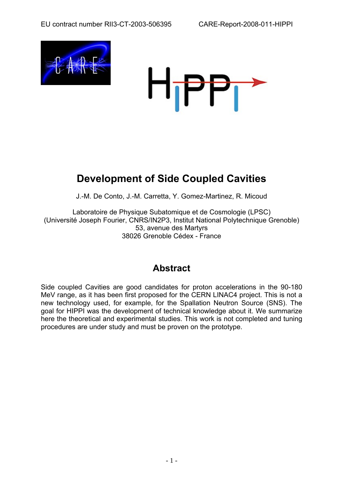



# **Development of Side Coupled Cavities**

J.-M. De Conto, J.-M. Carretta, Y. Gomez-Martinez, R. Micoud

Laboratoire de Physique Subatomique et de Cosmologie (LPSC) (Université Joseph Fourier, CNRS/IN2P3, Institut National Polytechnique Grenoble) 53, avenue des Martyrs 38026 Grenoble Cédex - France

## **Abstract**

Side coupled Cavities are good candidates for proton accelerations in the 90-180 MeV range, as it has been first proposed for the CERN LINAC4 project. This is not a new technology used, for example, for the Spallation Neutron Source (SNS). The goal for HIPPI was the development of technical knowledge about it. We summarize here the theoretical and experimental studies. This work is not completed and tuning procedures are under study and must be proven on the prototype.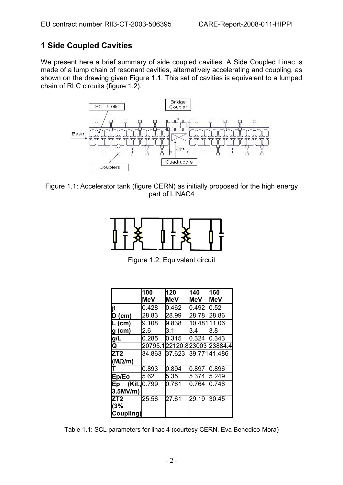## **1 Side Coupled Cavities**

We present here a brief summary of side coupled cavities. A Side Coupled Linac is made of a lump chain of resonant cavities, alternatively accelerating and coupling, as shown on the drawing given Figure 1.1. This set of cavities is equivalent to a lumped chain of RLC circuits (figure 1.2).



Figure 1.1: Accelerator tank (figure CERN) as initially proposed for the high energy part of LINAC4



Figure 1.2: Equivalent circuit

|                     | 100        | 120                         | 140         | 160        |
|---------------------|------------|-----------------------------|-------------|------------|
|                     | <b>MeV</b> | <b>MeV</b>                  | MeV         | <b>MeV</b> |
| β                   | 0.428      | 0.462                       | 0.492       | 0.52       |
| $D$ (cm)            | 28.83      | 28.99                       | 28.78       | 28.86      |
| $L$ (cm)            | 9.108      | 9.838                       | 10.48111.06 |            |
| g (cm)              | l2.6       | 3.1                         | 3.4         | 3.8        |
| g/L                 | 0.285      | 0.315                       | 0.324       | 0.343      |
| Q                   |            | 20795.122120.823003 23884.4 |             |            |
| ZT <sub>2</sub>     | 34.863     | 37.623 39.77141.486         |             |            |
| $(M\Omega/m)$       |            |                             |             |            |
|                     | 0.893      | 0.894                       | 0.897       | 0.896      |
| Ep/Eo               | 5.62       | 5.35                        | 5.374       | 5.249      |
| (Kil., 0.799)<br>Ep |            | 0.761                       | 0.764       | 0.746      |
| 3.5MV/m)            |            |                             |             |            |
| ZT2                 | 25.56      | 27.61                       | 29.19       | 30.45      |
| (3%                 |            |                             |             |            |
| Coupling)           |            |                             |             |            |

Table 1.1: SCL parameters for linac 4 (courtesy CERN, Eva Benedico-Mora)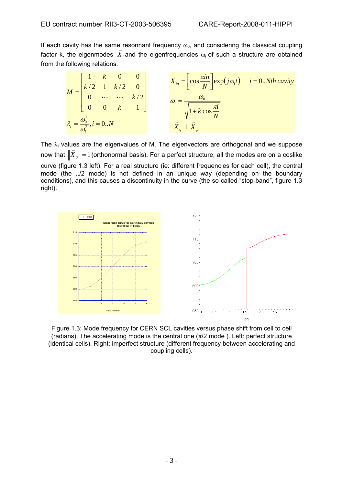If each cavity has the same resonnant frequency  $\omega_0$ , and considering the classical coupling factor k, the eigenmodes  $\overrightarrow{X}_i$  and the eigenfrequencies  $\omega_i$  of such a structure are obtained from the following relations:

$$
M = \begin{bmatrix} 1 & k & 0 & 0 \\ k/2 & 1 & k/2 & 0 \\ 0 & \cdots & \cdots & k/2 \\ 0 & 0 & k & 1 \end{bmatrix} \qquad \begin{aligned} X_{in} = \left[ \cos \frac{\pi in}{N} \right] \exp(j\omega_i t) & i = 0..Nth \, cavity \\ \omega_i = \frac{\omega_0}{\sqrt{1 + k \cos \frac{\pi i}{N}}} \\ \lambda_i = \frac{\omega_0^2}{\omega_i^2}, i = 0..N \end{aligned}
$$

The  $\lambda_i$  values are the eigenvalues of M. The eigenvectors are orthogonal and we suppose now that  $\|\vec{X}_q\|$  = 1 (orthonormal basis). For a perfect structure, all the modes are on a coslike curve (figure 1.3 left). For a real structure (ie: different frequencies for each cell), the central mode (the  $\pi/2$  mode) is not defined in an unique way (depending on the boundary conditions), and this causes a discontinuity in the curve (the so-called "stop-band", figure 1.3 right).



Figure 1.3: Mode frequency for CERN SCL cavities versus phase shift from cell to cell (radians). The accelerating mode is the central one  $(\pi/2 \text{ mode})$ . Left: perfect structure (identical cells). Right: imperfect structure (different frequency between accelerating and coupling cells).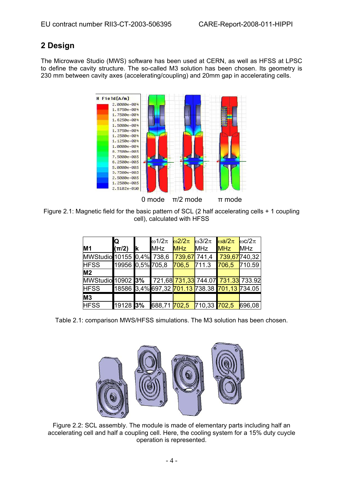## **2 Design**

The Microwave Studio (MWS) software has been used at CERN, as well as HFSS at LPSC to define the cavity structure. The so-called M3 solution has been chosen. Its geometry is 230 mm between cavity axes (accelerating/coupling) and 20mm gap in accelerating cells.



Figure 2.1: Magnetic field for the basic pattern of SCL (2 half accelerating cells + 1 coupling cell), calculated with HFSS

| M1                                                   | Q<br>$(\pi/2)$   | Ιk | $\omega$ 1/2 $\pi$<br>MHz                     | $\omega$ 2/2 $\pi$<br><b>MHz</b> | $\omega$ 3/2 $\pi$<br>MHz | $\omega a/2\pi$<br><b>MHz</b> | $\omega c/2\pi$<br>MHz |
|------------------------------------------------------|------------------|----|-----------------------------------------------|----------------------------------|---------------------------|-------------------------------|------------------------|
| MWStudio 10155 0,4% 738,6                            |                  |    |                                               | 739,67 741,4                     |                           | 739,67740,32                  |                        |
| <b>HFSS</b>                                          | 19956 0,5% 705,8 |    |                                               | 706,5                            | 711.3                     | 706,5                         | 710.59                 |
| M <sub>2</sub>                                       |                  |    |                                               |                                  |                           |                               |                        |
| MWStudio 10902 3% 721,68 731,33 744.07 731.33 733.92 |                  |    |                                               |                                  |                           |                               |                        |
| <b>HFSS</b>                                          |                  |    | 18586 3,4% 697,32 701.13 738.38 701,13 734.05 |                                  |                           |                               |                        |
| M <sub>3</sub>                                       |                  |    |                                               |                                  |                           |                               |                        |
| <b>HFSS</b>                                          | 19128 3%         |    | 688,71 <mark>702,5</mark>                     |                                  | 710,33 702,5              |                               | 696,08                 |

Table 2.1: comparison MWS/HFSS simulations. The M3 solution has been chosen.



Figure 2.2: SCL assembly. The module is made of elementary parts including half an accelerating cell and half a coupling cell. Here, the cooling system for a 15% duty cuycle operation is represented.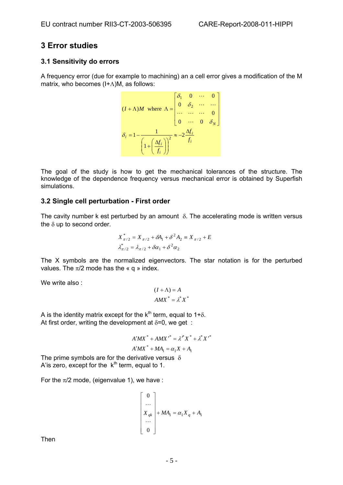## **3 E rror studies**

## **3.1 Sensitivity do errors**

A frequency error (due for example to machining) an a cell error gives a modification of the M matrix, who becomes (I+Λ)M, as follows:

$$
(I + \Lambda)M \text{ where } \Lambda = \begin{bmatrix} \delta_1 & 0 & \cdots & 0 \\ 0 & \delta_2 & \cdots & \cdots \\ \cdots & \cdots & \cdots & 0 \\ 0 & \cdots & 0 & \delta_N \end{bmatrix}
$$

$$
\delta_i = 1 - \frac{1}{\left(1 + \left(\frac{\Delta f_i}{f_i}\right)\right)^2} \approx -2\frac{\Delta f_i}{f_i}
$$

The goal of the study is how to get the mechanical tolerances of the structure. The knowledge of the dependence frequency versus mechanical error is obtained by Superfish simulations.

## **3.2 Single cell perturbation - First order**

The cavity number k est perturbed by an amount  $\delta$ . The accelerating mode is written versus the  $\delta$  up to second order.

$$
X_{\pi/2}^{*} = X_{\pi/2} + \delta A_1 + \delta^2 A_2 \equiv X_{\pi/2} + E
$$
  

$$
\lambda_{\pi/2}^{*} = \lambda_{\pi/2} + \delta \alpha_1 + \delta^2 \alpha_2
$$

The X symbols are the normalized eigenvectors. The star notation is for the perturbed values. The  $\pi/2$  mode has the « q » index.

We write also:

$$
(I + \Lambda) = A
$$

$$
AMX^* = \lambda^* X^*
$$

A is the identity matrix except for the  $k^{th}$  term, equal to 1+ $\delta$ . At first order, writing the development at  $\delta = 0$ , we get :

$$
A'MX^* + AMX'^* = \lambda^* X^* + \lambda^* X'^*
$$
  

$$
A'MX^* + MA_1 = \alpha_1 X + A_1
$$

The prime symbols are for the derivative versus  $\delta$ A'is zero, except for the  $k<sup>th</sup>$  term, equal to 1.

For the  $\pi/2$  mode, (eigenvalue 1), we have :

$$
\begin{bmatrix} 0 \\ \dots \\ X_{qk} \\ \dots \\ 0 \end{bmatrix} + MA_1 = \alpha_1 X_q + A_1
$$

Then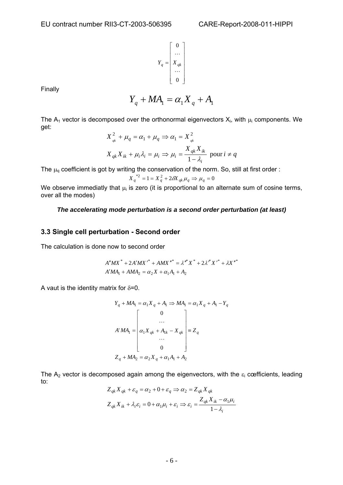$$
Y_q = \begin{bmatrix} 0 \\ \dots \\ X_{qk} \\ \dots \\ 0 \end{bmatrix}
$$

Finally

$$
Y_q + MA_1 = \alpha_1 X_q + A_1
$$

The  $A_1$  vector is decomposed over the orthonormal eigenvectors  $X_i$ , with  $\mu_i$  components. We get:

$$
X_{qk}^{2} + \mu_{q} = \alpha_{1} + \mu_{q} \Rightarrow \alpha_{1} = X_{qk}^{2}
$$
  

$$
X_{qk}X_{ik} + \mu_{i}\lambda_{i} = \mu_{i} \Rightarrow \mu_{i} = \frac{X_{qk}X_{ik}}{1 - \lambda_{i}} \text{ pour } i \neq q
$$

The  $\mu_q$  coefficient is got by writing the conservation of the norm. So, still at first order :

$$
X_{q}^{*2} = 1 = X_{q}^{2} + 2\delta X_{qk} \mu_{q} \Rightarrow \mu_{q} = 0
$$

We observe immediatly that  $\mu_i$  is zero (it is proportional to an alternate sum of cosine terms, over all the modes)

#### *The accelerating mode perturbation is a second order perturbation (at least)*

#### **3.3 Single cell pertur bation - Second order**

The calculation is done now to second order

$$
A''MX^* + 2A'MX' + AMX''^* = \lambda''^*X^* + 2\lambda''X'^* + \lambda X''^*
$$
  

$$
A'MA_1 + AMA_2 = \alpha_2 X + \alpha_1 A_1 + A_2
$$

A vaut is the identity matrix for  $\delta = 0$ .

$$
Y_q + MA_1 = \alpha_1 X_q + A_1 \Rightarrow MA_1 = \alpha_1 X_q + A_1 - Y_q
$$
  
\n
$$
\begin{bmatrix}\n0 \\
\vdots \\
\alpha_1 X_{qk} + A_{1k} - X_{qk} \\
\vdots \\
0\n\end{bmatrix} \equiv Z_q
$$
  
\n
$$
Z_q + MA_2 = \alpha_2 X_q + \alpha_1 A_1 + A_2
$$

The A<sub>2</sub> vector is decomposed again among the eigenvectors, with the  $\varepsilon_i$  cœfficients, leading to:

$$
Z_{qk} X_{qk} + \varepsilon_q = \alpha_2 + 0 + \varepsilon_q \Rightarrow \alpha_2 = Z_{qk} X_{qk}
$$
  

$$
Z_{qk} X_{ik} + \lambda_i \varepsilon_i = 0 + \alpha_1 \mu_i + \varepsilon_i \Rightarrow \varepsilon_i = \frac{Z_{qk} X_{ik} - \alpha_1 \mu_i}{1 - \lambda_i}
$$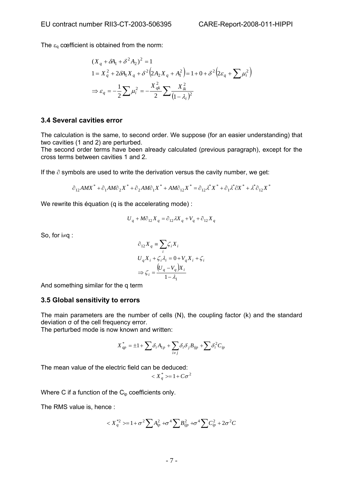The  $\varepsilon_q$  cœfficient is obtained from the norm:

$$
(X_q + \delta A_1 + \delta^2 A_2)^2 = 1
$$
  
\n
$$
1 = X_q^2 + 2\delta A_1 X_q + \delta^2 (2A_2 X_q + A_1^2) = 1 + 0 + \delta^2 (2\varepsilon_q + \sum \mu_i^2)
$$
  
\n
$$
\Rightarrow \varepsilon_q = -\frac{1}{2} \sum \mu_i^2 = -\frac{X_{qk}^2}{2} \sum \frac{X_{ik}^2}{(1 - \lambda_i)^2}
$$

#### **3.4 Several cavities error**

The calculation is the same, to second order. We suppose (for an easier understanding) that two cavities (1 and 2) are perturbed.

The second order terms have been already calculated (previous paragraph), except for the cross terms between cavities 1 and 2.

If the ∂ symbols are used to write the derivation versus the cavity number, we get:

$$
\partial_{12}AMX^* + \partial_1AM\partial_2X^* + \partial_2AM\partial_1X^* + AM\partial_{12}X^* = \partial_{12}\lambda^*X^* + \partial_1\lambda^* \partial_1X^* + \lambda^* \partial_{12}X^*
$$

We rewrite this équation (q is the accelerating mode) :

$$
U_q + M\partial_{12} X_q = \partial_{12} \lambda X_q + V_q + \partial_{12} X_q
$$

So, for i≠q :

$$
\partial_{12} X_q = \sum_i \zeta_i X_i
$$
  
\n
$$
U_q X_i + \zeta_i \lambda_i = 0 + V_q X_i + \zeta_i
$$
  
\n
$$
\Rightarrow \zeta_i = \frac{(U_q - V_q)X_i}{1 - \lambda_1}
$$

And something similar for the q term

#### **3.5 Global sensitivity to errors**

The main parameters are the number of cells (N), the coupling factor (k) and the standard deviation σ of the cell frequency error.

The perturbed mode is now known and written:

$$
X_{qp}^*=\pm 1+\sum \delta_i A_{1p}+\sum_{i\neq j}\delta_i \delta_j B_{ijp}+\sum \delta_i^2 C_{ip}
$$

The mean value of the electric field can be deduced:

$$
\langle X_q^* \rangle = 1 + C\sigma^2
$$

Where C if a function of the  $C_{ip}$  coefficients only.

The RMS value is, hence :

$$
\langle X_{q}^{*2} \rangle = 1 + \sigma^{2} \sum A_{ip}^{2} + \sigma^{4} \sum B_{ijp}^{2} + \sigma^{4} \sum C_{ip}^{2} + 2\sigma^{2} C
$$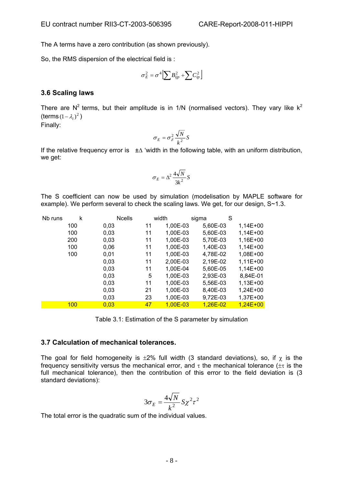The A terms have a zero contribution (as shown previously).

So, the RMS dispersion of the electrical field is :

$$
\sigma_E^2 = \sigma^4 \left[ \sum B_{ijp}^2 + \sum C_{ip}^2 \right]
$$

### **3.6 Scaling laws**

There are  $N^2$  terms, but their amplitude is in 1/N (normalised vectors). They vary like  $k^2$ (terms  $(1 - \lambda_i)^2$ )

Finally:

$$
\sigma_E = \sigma_\delta^2 \frac{\sqrt{N}}{k^2} S
$$

If the relative frequency error is ±∆ 'width in the following table, with an uniform distribution, we get:

$$
\sigma_E = \Delta^2 \frac{4\sqrt{N}}{3k^2} S
$$

The S coefficient can now be used by simulation (modelisation by MAPLE software for example). We perform several to check the scaling laws. We get, for our design,  $S~1.3$ .

| Nb runs | k   | <b>Ncells</b> |    | width    | sigma      | S |            |
|---------|-----|---------------|----|----------|------------|---|------------|
|         | 100 | 0,03          | 11 | 1,00E-03 | 5,60E-03   |   | $1,14E+00$ |
|         | 100 | 0,03          | 11 | 1,00E-03 | 5,60E-03   |   | $1,14E+00$ |
|         | 200 | 0,03          | 11 | 1,00E-03 | 5,70E-03   |   | 1,16E+00   |
|         | 100 | 0,06          | 11 | 1,00E-03 | 1,40E-03   |   | $1,14E+00$ |
|         | 100 | 0,01          | 11 | 1,00E-03 | 4,78E-02   |   | 1,08E+00   |
|         |     | 0,03          | 11 | 2,00E-03 | 2,19E-02   |   | $1,11E+00$ |
|         |     | 0,03          | 11 | 1,00E-04 | 5,60E-05   |   | $1,14E+00$ |
|         |     | 0,03          | 5  | 1,00E-03 | 2,93E-03   |   | 8,84E-01   |
|         |     | 0,03          | 11 | 1,00E-03 | 5,56E-03   |   | $1,13E+00$ |
|         |     | 0,03          | 21 | 1,00E-03 | 8,40E-03   |   | $1,24E+00$ |
|         |     | 0,03          | 23 | 1,00E-03 | 9,72E-03   |   | 1,37E+00   |
|         | 100 | 0,03          | 47 | 1,00E-03 | $1,26E-02$ |   | $1,24E+00$ |

Table 3.1: Estimation of the S parameter by simulation

#### **3.7 Calculation of mechanical tolerances.**

The goal for field homogeneity is  $\pm 2\%$  full width (3 standard deviations), so, if  $\chi$  is the frequency sensitivity versus the mechanical error, and  $\tau$  the mechanical tolerance ( $\pm\tau$  is the full mechanical tolerance), then the contribution of this error to the field deviation is (3 standard deviations):

$$
3\sigma_E = \frac{4\sqrt{N}}{k^2} S \chi^2 \tau^2
$$

The total error is the quadratic sum of the individual values.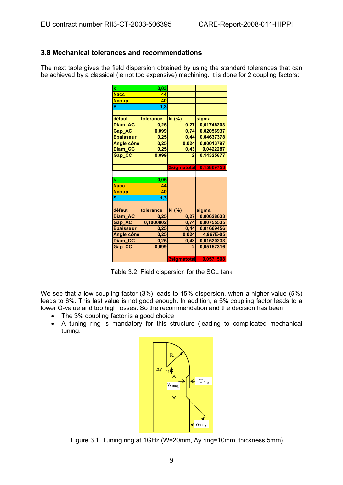## **3.8 Mechanical tolerances and recommendations**

The next table gives the field dispersion obtained by using the standard tolerances that can be achieved by a classical (ie not too expensive) machining. It is done for 2 coupling factors:

| k                | 0,03      |                |            |
|------------------|-----------|----------------|------------|
| <b>Nacc</b>      | 44        |                |            |
| <b>Ncoup</b>     | 40        |                |            |
| S                | 1,3       |                |            |
|                  |           |                |            |
| défaut           | tolerance | ki (%)         | sigma      |
| Diam AC          | 0,25      | 0,27           | 0,01746203 |
| <b>Gap AC</b>    | 0,099     | 0,74           | 0,02056937 |
| <b>Epaisseur</b> | 0,25      | 0,44           | 0,04637378 |
| Angle cône       | 0,25      | 0,024          | 0,00013797 |
| Diam_CC          | 0,25      | 0,43           | 0,0422287  |
| Gap_CC           | 0,099     | $\overline{2}$ | 0,14325877 |
|                  |           |                |            |
|                  |           | 3sigmatotal    | 0,15869753 |
|                  |           |                |            |
| k                | 0,05      |                |            |
| <b>Nacc</b>      | 44        |                |            |
| <b>Ncoup</b>     | 40        |                |            |
| S                |           |                |            |
|                  | 1,3       |                |            |
|                  |           |                |            |
| défaut           | tolerance | ki (%)         | sigma      |
| Diam AC          | 0,25      | 0,27           | 0,00628633 |
| Gap_AC           | 0,1000002 | 0,74           | 0,00755535 |
| <b>Epaisseur</b> | 0,25      | 0,44           | 0,01669456 |
| Angle cône       | 0,25      | 0,024          | 4,967E-05  |
| Diam_CC          | 0,25      | 0,43           | 0,01520233 |
| Gap_CC           | 0,099     | 2              | 0,05157316 |
|                  |           |                |            |

Table 3.2: Field dispersion for the SCL tank

We see that a low coupling factor (3%) leads to 15% dispersion, when a higher value (5%) leads to 6%. This last value is not good enough. In addition, a 5% coupling factor leads to a lower Q-value and too high losses. So the recommendation and the decision has been

- The 3% cou pling factor is a good choice
- A tuning ring is mandatory for this structure (leading to complicated mechanical tuning.



Figure 3.1: Tuning ring at 1GHz (W=20mm, ∆y ring=10mm, thickness 5mm)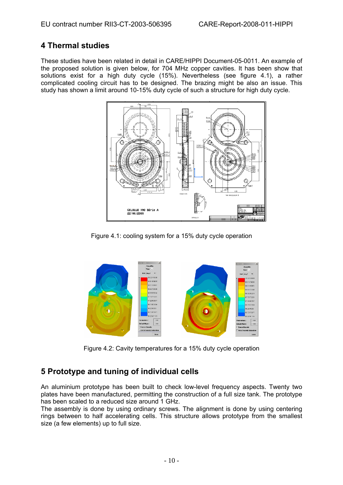## **4 Thermal studies**

These studies have been related in detail in CARE/HIPPI Document-05-0011. An example of the proposed solution is given below, for 704 MHz copper cavities. It has been show that solutions exist for a high duty cycle (15%). Nevertheless (see figure 4.1), a rather omplicated cooling circuit has to be designed. The brazing might be also an issue. This c study has shown a limit around 10-15% duty cycle of such a structure for high duty cycle.



Figure 4.1: cooling system for a 15% duty cycle operation



Figure 4.2: Cavity temperatures for a 15% duty cycle operation

## **Prototype and tuning of individual cells 5**

An aluminium prototype has been built to check low-level frequency aspects. Twenty two plates have been manufactured, permitting the construction of a full size tank. The prototype has been scaled to a reduced size around 1 GHz.

The assembly is done by using ordinary screws. The alignment is done by using centering rings between to half accelerating cells. This structure allows prototype from the smallest size (a few elements) up to full size.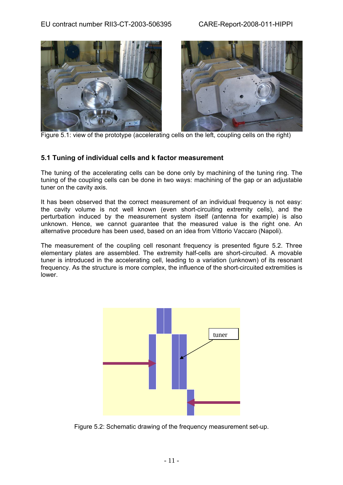## EU contract number RII3-CT-2003-506395 CARE-Report-2008-011-HIPPI





Figure 5.1: view of the prototype (accelerating cells on the left, coupling cells on the right)

## **.1 Tuning of individual cells and k factor measurement 5**

The tuning of the accelerating cells can be done only by machining of the tuning ring. The tuning of the coupling cells can be done in two ways: machining of the gap or an adjustable tuner on the cavity axis.

It has been observed that the correct measurement of an individual frequency is not easy: the cavity volume is not well known (even short-circuiting extremity cells), and the perturbation induced by the measurement system itself (antenna for example) is also unknown. Hence, we cannot guarantee that the measured value is the right one. An alternative procedure has been used, based on an idea from Vittorio Vaccaro (Napoli).

The measurement of the coupling cell resonant frequency is presented figure 5.2. Three lementary plates are assembled. The extremity half-cells are short-circuited. A movable e tuner is introduced in the accelerating cell, leading to a variation (unknown) of its resonant frequency. As the structure is more complex, the influence of the short-circuited extremities is lower.



Figure 5.2: Schematic drawing of the frequency measurement set-up.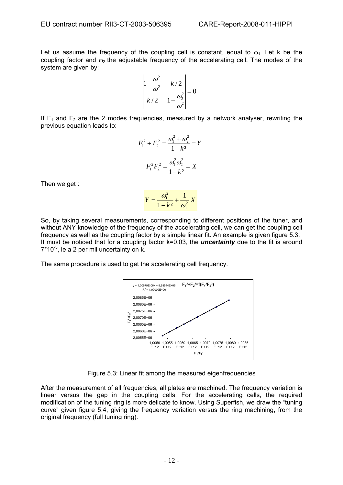Let us assume the frequency of the coupling cell is constant, equal to  $\omega_1$ . Let k be the coupling factor and  $\omega_2$  the adjustable frequency of the accelerating cell. The modes of the system are given by:

$$
\begin{vmatrix} 1 - \frac{\omega_1^2}{\omega^2} & k/2 \\ k/2 & 1 - \frac{\omega_2^2}{\omega^2} \end{vmatrix} = 0
$$

If  $F_1$  and  $F_2$  are the 2 modes frequencies, measured by a network analyser, rewriting the previous equation leads to:

$$
F_1^2 + F_2^2 = \frac{\omega_1^2 + \omega_2^2}{1 - k^2} = Y
$$

$$
F_1^2 F_2^2 = \frac{\omega_1^2 \omega_2^2}{1 - k^2} = X
$$

Then we get :

$$
Y = \frac{\omega_1^2}{1 - k^2} + \frac{1}{\omega_1^2} X
$$

So, by taking several measurements, corresponding to different positions of the tuner, and without ANY knowledge of the frequency of the accelerating cell, we can get the coupling cell frequency as well as the coupling factor by a simple linear fit. An example is given figure 5.3. It must be noticed that for a coupling factor k=0.03, the *uncertainty* due to the fit is around  $7*10^{-5}$ , ie a 2 per mil uncertainty on k.

The same procedure is used to get the accelerating cell frequency.



Figure 5.3: Linear fit among the measured eigenfrequencies

After the measurement of all frequencies, all plates are machined. The frequency variation is linear versus the gap in the coupling cells. For the accelerating cells, the required modification of the tuning ring is more delicate to know. Using Superfish, we draw the "tuning curve" given figure 5.4, giving the frequency variation versus the ring machining, from the original frequency (full tuning ring).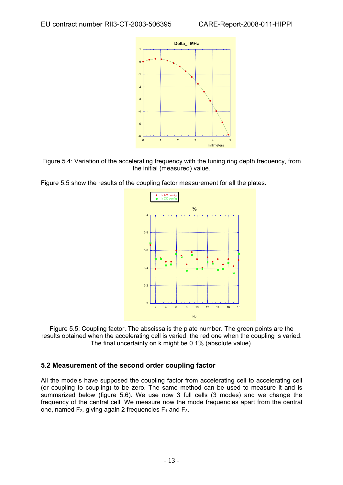



Figure 5.5 show the results of the coupling factor measurement for all the plates.



Figure 5.5: Coupling factor. The abscissa is the plate number. The green points are the results obtained when the accelerating cell is varied, the red one when the coupling is varied. The final uncertainty on k might be 0.1% (absolute value).

## **.2 Measurement of the second order coupling factor 5**

ll the models have supposed the coupling factor from accelerating cell to accelerating cell A (or coupling to coupling) to be zero. The same method can be used to measure it and is summarized below (figure 5.6). We use now 3 full cells (3 modes) and we change the frequency of the central cell. We measure now the mode frequencies apart from the central one, named  $F_2$ , giving again 2 frequencies  $F_1$  and  $F_3$ .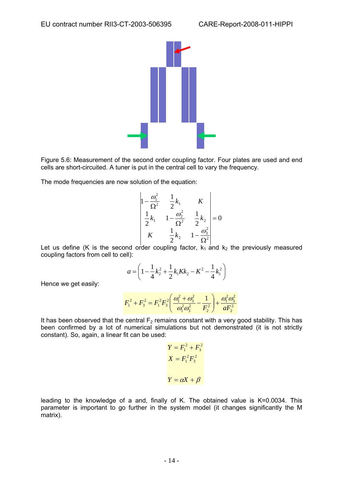

Figure 5.6: Measurement of the second order coupling factor. Four plates are used and end cells are short-circuited. A tuner is put in the central cell to vary the frequency.

The mode frequencies are now solution of the equation:

$$
\begin{vmatrix} 1 - \frac{\omega_1^2}{\Omega^2} & \frac{1}{2}k_1 & K \\ \frac{1}{2}k_1 & 1 - \frac{\omega_2^2}{\Omega^2} & \frac{1}{2}k_2 \\ K & \frac{1}{2}k_2 & 1 - \frac{\omega_3^2}{\Omega^2} \end{vmatrix} = 0
$$

Let us define (K is the second order coupling factor,  $k_1$  and  $k_2$  the previously measured coupling factors from cell to cell):

$$
a = \left(1 - \frac{1}{4}k_2^2 + \frac{1}{2}k_1Kk_2 - K^2 - \frac{1}{4}k_1^2\right)
$$

Hence we get easily:

$$
F_1^2 + F_3^2 = F_1^2 F_3^2 \left( \frac{\omega_1^2 + \omega_3^2}{\omega_1^2 \omega_3^2} - \frac{1}{F_2^2} \right) + \frac{\omega_1^2 \omega_3^2}{\omega_2^2}
$$

It has been observed that the central  $F_2$  remains constant with a very good stability. This has been confirmed by a lot of numerical simulations but not demonstrated (it is not strictly constant). So, again, a linear fit can be used:

$$
Y = F_1^2 + F_3^2
$$

$$
X = F_1^2 F_3^2
$$

$$
Y = \alpha X + \beta
$$

leading to the knowledge of a and, finally of K. The obtained value is K=0.0034. This parameter is important to go further in the system model (it changes significantly the M matrix).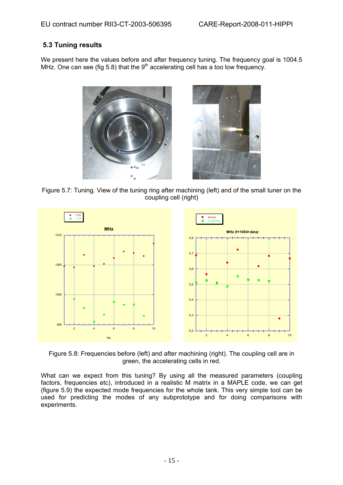## **5.3 Tuning results**

We present here the values before and after frequency tuning. The frequency goal is 1004.5 MHz. One can see (fig 5.8) that the  $9<sup>th</sup>$  accelerating cell has a too low frequency.



Figure 5.7: Tuning. View of the tuning ring after machining (left) and of the small tuner on the coupling cell (right)



Figure 5.8: Frequencies before (left) and after machining (right). The coupling cell are in green, the accelerating cells in red.

What can we expect from this tuning? By using all the measured parameters (coupling factors, frequencies etc), introduced in a realistic M matrix in a MAPLE code, we can get (figure 5.9) the expected mode frequencies for the whole tank. This very simple tool can be used for predicting the modes of any subprototype and for doing comparisons with experiments.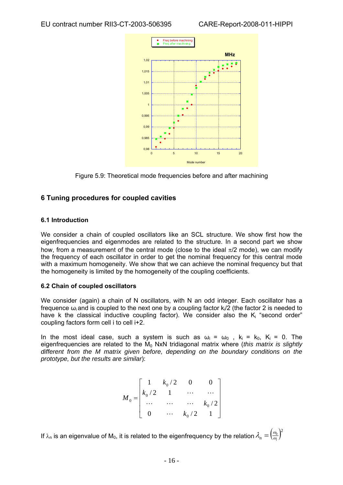

Figure 5.9: Theoretical mode frequencies before and after machining

## **6 Tuning procedures for couple d cavities**

## **6.1 Introduction**

We consider a chain of coupled oscillators like an SCL structure. We show first how the eigenfrequencies and eigenmodes are related to the structure. In a second part we show how, from a measurement of the central mode (close to the ideal  $\pi/2$  mode), we can modify the frequency of each oscillator in order to get the nominal frequency for this central mode with a maximum homogeneity. We show that we can achieve the nominal frequency but that the homogeneity is limited by the homogeneity of the coupling coefficients.

## **6.2 Chain of coupled oscillators**

We consider (again) a chain of N oscillators, with N an odd integer. Each oscillator has a frequence ω<sub>i</sub> and is coupled to the next one by a coupling factor k<sub>i</sub>/2 (the factor 2 is needed to have k the classical inductive coupling factor). We consider also the  $K_i$  "second order" coupling factors form cell i to cell i+2.

In the most ideal case, such a system is such as  $\omega_i = \omega_0$ ,  $k_i = k_0$ ,  $K_i = 0$ . The eigenfrequencies are related to the M<sub>0</sub> NxN tridiagonal matrix where (*this matrix is slightly if e d ferent from the M matrix given before, depending on the boundary conditions on th prototype, but the results are similar*):

$$
M_0 = \begin{bmatrix} 1 & k_0/2 & 0 & 0 \\ k_0/2 & 1 & \cdots & \cdots \\ \cdots & \cdots & \cdots & k_0/2 \\ 0 & \cdots & k_0/2 & 1 \end{bmatrix}
$$

If  $\lambda_n$  is an eigenvalue of M $_0$ , it is related to the eigenfrequency by the relation  $\lambda_n=\left(\frac{\omega_0}{\omega_i}\right)^2$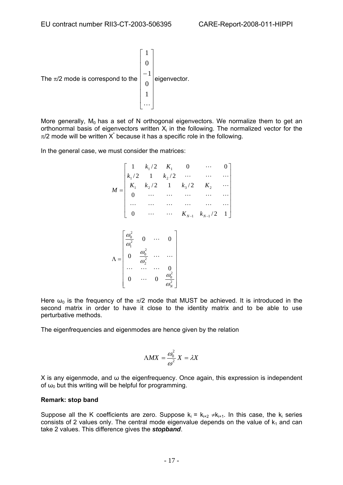

More generally,  $M_0$  has a set of N orthogonal eigenvectors. We normalize them to get an orthonormal basis of eigenvectors written  $X_i$  in the following. The normalized vector for the  $\pi/2$  mode will be written X<sup>\*</sup> because it has a specific role in the following.

In the general case, we must consider the matrices:

$$
M = \begin{bmatrix} 1 & k_1/2 & K_1 & 0 & \cdots & 0 \\ k_1/2 & 1 & k_2/2 & \cdots & \cdots & \cdots \\ K_1 & k_2/2 & 1 & k_3/2 & K_2 & \cdots \\ 0 & \cdots & \cdots & \cdots & \cdots & \cdots \\ \cdots & \cdots & \cdots & \cdots & \cdots & \cdots \\ 0 & \cdots & \cdots & K_{N-1} & k_{N-1}/2 & 1 \end{bmatrix}
$$

$$
\Lambda = \begin{bmatrix} \frac{\omega_0^2}{\omega_1^2} & 0 & \cdots & 0 \\ 0 & \frac{\omega_0^2}{\omega_2^2} & \cdots & \cdots \\ \cdots & \cdots & \cdots & 0 \\ 0 & \cdots & 0 & \frac{\omega_0^2}{\omega_N^2} \end{bmatrix}
$$

Here  $\omega_0$  is the frequency of the  $\pi/2$  mode that MUST be achieved. It is introduced in the second matrix in order to have it close to the identity matrix and to be able to use perturbative methods.

The eigenfrequencies and eigenmodes are hence given by the relation

$$
\Lambda MX = \frac{\omega_0^2}{\omega^2}X = \lambda X
$$

 $X$  is any eigenmode, and  $\omega$  the eigenfrequency. Once again, this expression is independent of  $\omega_0$  but this writing will be helpful for programming.

#### **Remark: stop band**

Suppose all the K coefficients are zero. Suppose  $k_i = k_{i+2} \neq k_{i+1}$ . In this case, the  $k_i$  series consists of 2 values only. The central mode eigenvalue depends on the value of  $k_1$  and can take 2 values. This difference gives the *stopband*.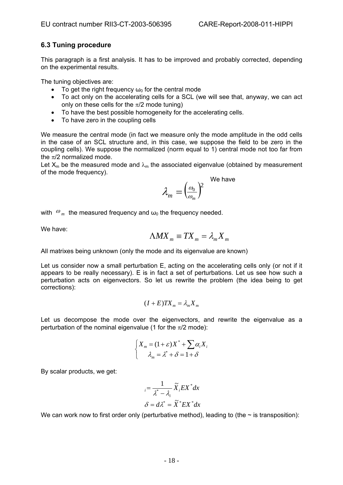## **6.3 Tuning procedure**

This paragraph is a first analysis. It has to be improved and probably corrected, depending on the experimental results.

The tuning objectives are:

- To get the right frequency  $\omega_0$  for the central mode
- To act only on the accelerating cells for a SCL (we will see that, anyway, we can act only on these cells for the  $\pi/2$  mode tuning)
- To have the best possible homogeneity for the accelerating cells.
- To have zero in the coupling cells

We measure the central mode (in fact we measure only the mode amplitude in the odd cells in the case of an SCL structure and, in this case, we suppose the field to be zero in the coupling cells). We suppose the normalized (norm equal to 1) central mode not too far from the  $\pi/2$  normalized mode.

Let  $X_m$  be the measured mode and  $\lambda_m$  the associated eigenvalue (obtained by measurement of the mode frequency).

$$
\lambda_m = \Bigr( \frac{\omega_0}{\omega_m} \Bigr)^{\!\!2} \quad \stackrel{\text{We have}}{}
$$

with  $\omega_m$  the measured frequency and  $\omega_0$  the frequency needed.

We have:

$$
\Lambda M X_m \equiv T X_m = \lambda_m X_m
$$

All matrixes being unknown (only the mode and its eigenvalue are known)

Let us consider now a small perturbation E, acting on the accelerating cells only (or not if it appears to be really necessary). E is in fact a set of perturbations. Let us see how such a perturbation acts on eigenvectors. So let us rewrite the problem (the idea being to get corrections):

$$
(I+E)TX_m = \lambda_m X_m
$$

Let us decompose the mode over the eigenvectors, and rewrite the eigenvalue as a perturbation of the nominal eigenvalue (1 for the  $\pi/2$  mode):

$$
\begin{cases} X_m = (1+\varepsilon)X^* + \sum \alpha_i X_i \\ \lambda_m = \lambda^* + \delta = 1 + \delta \end{cases}
$$

By scalar products, we get:

$$
_{i} = \frac{1}{\lambda^{*} - \lambda_{i}} \widetilde{X}_{i} EX^{*} dx
$$

$$
\delta = d\lambda^{*} = \widetilde{X}^{*} EX^{*} dx
$$

We can work now to first order only (perturbative method), leading to (the  $\sim$  is transposition):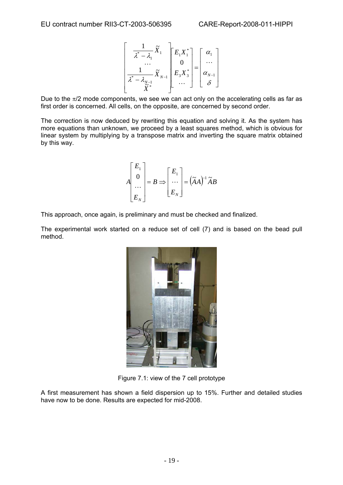$$
\left[\begin{array}{c}\n1 \\
\overline{\lambda}^* - \overline{\lambda}_1 \\
\vdots \\
\overline{\lambda}^* - \overline{\lambda}_{N-1} \\
\overline{\widetilde{X}}^*\n\end{array}\right]\n\left[\begin{array}{c}\nE_1 X_1^* \\
0 \\
E_3 X_3^*\n\end{array}\right]\n=\n\left[\begin{array}{c}\n\alpha_1 \\
\vdots \\
\alpha_{N-1} \\
\delta\n\end{array}\right]
$$

Due to the  $\pi/2$  mode components, we see we can act only on the accelerating cells as far as first order is concerned. All cells, on the opposite, are concerned by second order.

The correction is now deduced by rewriting this equation and solving it. As the system has more equations than unknown, we proceed by a least squares method, which is obvious for linear system by multiplying by a transpose matrix and inverting the square matrix obtained by this way.

$$
A\begin{bmatrix} E_1 \\ 0 \\ \cdots \\ E_N \end{bmatrix} = B \Longrightarrow \begin{bmatrix} E_1 \\ \cdots \\ E_N \end{bmatrix} = (\widetilde{A}A)^{-1} \widetilde{A}B
$$

This approach, once again, is preliminary and must be checked and finalized.

The experimental work started on a reduce set of cell (7) and is based on the bead pull method.



Figure 7.1: view of the 7 cell prototyp e

A first measurement has shown a field dispersion up to 15%. Further and detailed studies have now to be done. Results are expected for mid-2008.